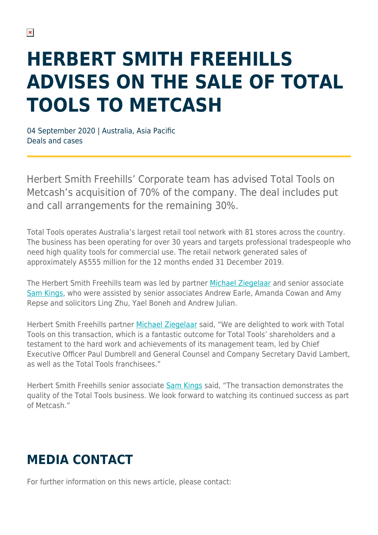## **HERBERT SMITH FREEHILLS ADVISES ON THE SALE OF TOTAL TOOLS TO METCASH**

04 September 2020 | Australia, Asia Pacific Deals and cases

Herbert Smith Freehills' Corporate team has advised Total Tools on Metcash's acquisition of 70% of the company. The deal includes put and call arrangements for the remaining 30%.

Total Tools operates Australia's largest retail tool network with 81 stores across the country. The business has been operating for over 30 years and targets professional tradespeople who need high quality tools for commercial use. The retail network generated sales of approximately A\$555 million for the 12 months ended 31 December 2019.

The Herbert Smith Freehills team was led by partner [Michael Ziegelaar](https://www.herbertsmithfreehills.com/our-people/michael-ziegelaar) and senior associate [Sam Kings](https://www.herbertsmithfreehills.com/our-people/sam-kings), who were assisted by senior associates Andrew Earle, Amanda Cowan and Amy Repse and solicitors Ling Zhu, Yael Boneh and Andrew Julian.

Herbert Smith Freehills partner [Michael Ziegelaar](https://www.herbertsmithfreehills.com/our-people/michael-ziegelaar) said, "We are delighted to work with Total Tools on this transaction, which is a fantastic outcome for Total Tools' shareholders and a testament to the hard work and achievements of its management team, led by Chief Executive Officer Paul Dumbrell and General Counsel and Company Secretary David Lambert, as well as the Total Tools franchisees."

Herbert Smith Freehills senior associate [Sam Kings](https://www.herbertsmithfreehills.com/our-people/sam-kings) said, "The transaction demonstrates the quality of the Total Tools business. We look forward to watching its continued success as part of Metcash."

## **MEDIA CONTACT**

For further information on this news article, please contact: